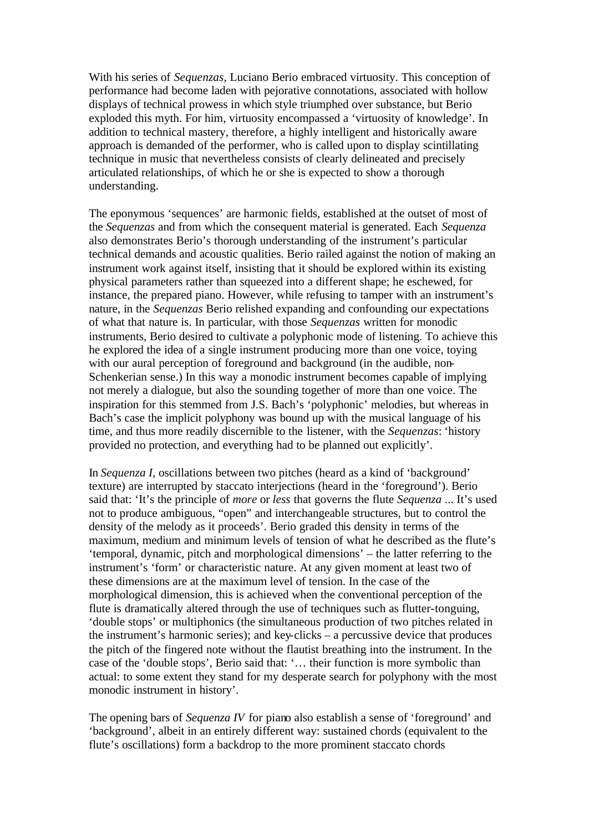With his series of *Sequenzas*, Luciano Berio embraced virtuosity. This conception of performance had become laden with pejorative connotations, associated with hollow displays of technical prowess in which style triumphed over substance, but Berio exploded this myth. For him, virtuosity encompassed a 'virtuosity of knowledge'. In addition to technical mastery, therefore, a highly intelligent and historically aware approach is demanded of the performer, who is called upon to display scintillating technique in music that nevertheless consists of clearly delineated and precisely articulated relationships, of which he or she is expected to show a thorough understanding.

The eponymous 'sequences' are harmonic fields, established at the outset of most of the *Sequenzas* and from which the consequent material is generated. Each *Sequenza*  also demonstrates Berio's thorough understanding of the instrument's particular technical demands and acoustic qualities. Berio railed against the notion of making an instrument work against itself, insisting that it should be explored within its existing physical parameters rather than squeezed into a different shape; he eschewed, for instance, the prepared piano. However, while refusing to tamper with an instrument's nature, in the *Sequenzas* Berio relished expanding and confounding our expectations of what that nature is. In particular, with those *Sequenzas* written for monodic instruments, Berio desired to cultivate a polyphonic mode of listening. To achieve this he explored the idea of a single instrument producing more than one voice, toying with our aural perception of foreground and background (in the audible, non-Schenkerian sense.) In this way a monodic instrument becomes capable of implying not merely a dialogue, but also the sounding together of more than one voice. The inspiration for this stemmed from J.S. Bach's 'polyphonic' melodies, but whereas in Bach's case the implicit polyphony was bound up with the musical language of his time, and thus more readily discernible to the listener, with the *Sequenzas*: 'history provided no protection, and everything had to be planned out explicitly'.

In *Sequenza I*, oscillations between two pitches (heard as a kind of 'background' texture) are interrupted by staccato interjections (heard in the 'foreground'). Berio said that: 'It's the principle of *more* or *less* that governs the flute *Sequenza* ... It's used not to produce ambiguous, "open" and interchangeable structures, but to control the density of the melody as it proceeds'. Berio graded this density in terms of the maximum, medium and minimum levels of tension of what he described as the flute's 'temporal, dynamic, pitch and morphological dimensions' – the latter referring to the instrument's 'form' or characteristic nature. At any given moment at least two of these dimensions are at the maximum level of tension. In the case of the morphological dimension, this is achieved when the conventional perception of the flute is dramatically altered through the use of techniques such as flutter-tonguing, 'double stops' or multiphonics (the simultaneous production of two pitches related in the instrument's harmonic series); and key-clicks – a percussive device that produces the pitch of the fingered note without the flautist breathing into the instrument. In the case of the 'double stops', Berio said that: '… their function is more symbolic than actual: to some extent they stand for my desperate search for polyphony with the most monodic instrument in history'.

The opening bars of *Sequenza IV* for piano also establish a sense of 'foreground' and 'background', albeit in an entirely different way: sustained chords (equivalent to the flute's oscillations) form a backdrop to the more prominent staccato chords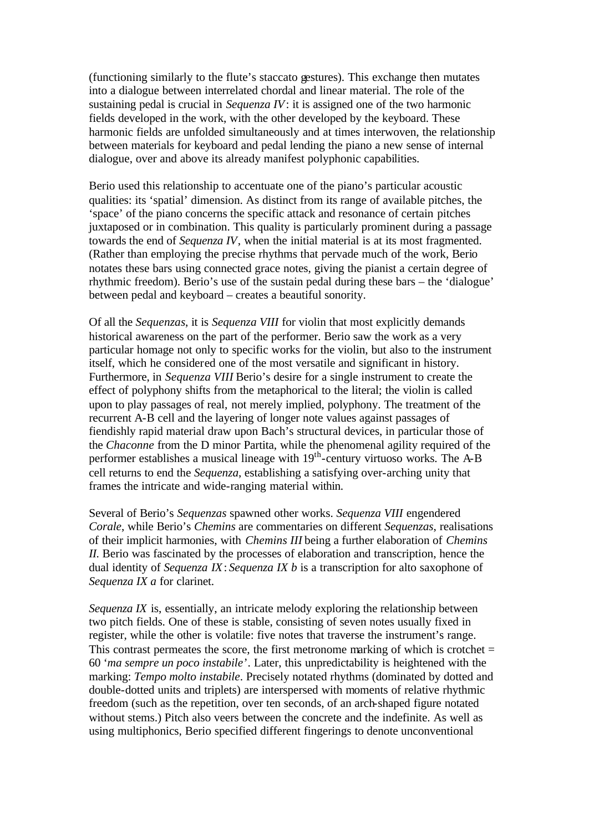(functioning similarly to the flute's staccato gestures). This exchange then mutates into a dialogue between interrelated chordal and linear material. The role of the sustaining pedal is crucial in *Sequenza IV*: it is assigned one of the two harmonic fields developed in the work, with the other developed by the keyboard. These harmonic fields are unfolded simultaneously and at times interwoven, the relationship between materials for keyboard and pedal lending the piano a new sense of internal dialogue, over and above its already manifest polyphonic capabilities.

Berio used this relationship to accentuate one of the piano's particular acoustic qualities: its 'spatial' dimension. As distinct from its range of available pitches, the 'space' of the piano concerns the specific attack and resonance of certain pitches juxtaposed or in combination. This quality is particularly prominent during a passage towards the end of *Sequenza IV*, when the initial material is at its most fragmented. (Rather than employing the precise rhythms that pervade much of the work, Berio notates these bars using connected grace notes, giving the pianist a certain degree of rhythmic freedom). Berio's use of the sustain pedal during these bars – the 'dialogue' between pedal and keyboard – creates a beautiful sonority.

Of all the *Sequenzas*, it is *Sequenza VIII* for violin that most explicitly demands historical awareness on the part of the performer. Berio saw the work as a very particular homage not only to specific works for the violin, but also to the instrument itself, which he considered one of the most versatile and significant in history. Furthermore, in *Sequenza VIII* Berio's desire for a single instrument to create the effect of polyphony shifts from the metaphorical to the literal; the violin is called upon to play passages of real, not merely implied, polyphony. The treatment of the recurrent A-B cell and the layering of longer note values against passages of fiendishly rapid material draw upon Bach's structural devices, in particular those of the *Chaconne* from the D minor Partita, while the phenomenal agility required of the performer establishes a musical lineage with  $19<sup>th</sup>$ -century virtuoso works. The A-B cell returns to end the *Sequenza*, establishing a satisfying over-arching unity that frames the intricate and wide-ranging material within.

Several of Berio's *Sequenzas* spawned other works. *Sequenza VIII* engendered *Corale*, while Berio's *Chemins* are commentaries on different *Sequenzas*, realisations of their implicit harmonies, with *Chemins III* being a further elaboration of *Chemins II*. Berio was fascinated by the processes of elaboration and transcription, hence the dual identity of *Sequenza IX*: *Sequenza IX b* is a transcription for alto saxophone of *Sequenza IX a* for clarinet.

*Sequenza IX* is, essentially, an intricate melody exploring the relationship between two pitch fields. One of these is stable, consisting of seven notes usually fixed in register, while the other is volatile: five notes that traverse the instrument's range. This contrast permeates the score, the first metronome marking of which is crotchet  $=$ 60 '*ma sempre un poco instabile*'. Later, this unpredictability is heightened with the marking: *Tempo molto instabile*. Precisely notated rhythms (dominated by dotted and double-dotted units and triplets) are interspersed with moments of relative rhythmic freedom (such as the repetition, over ten seconds, of an arch-shaped figure notated without stems.) Pitch also veers between the concrete and the indefinite. As well as using multiphonics, Berio specified different fingerings to denote unconventional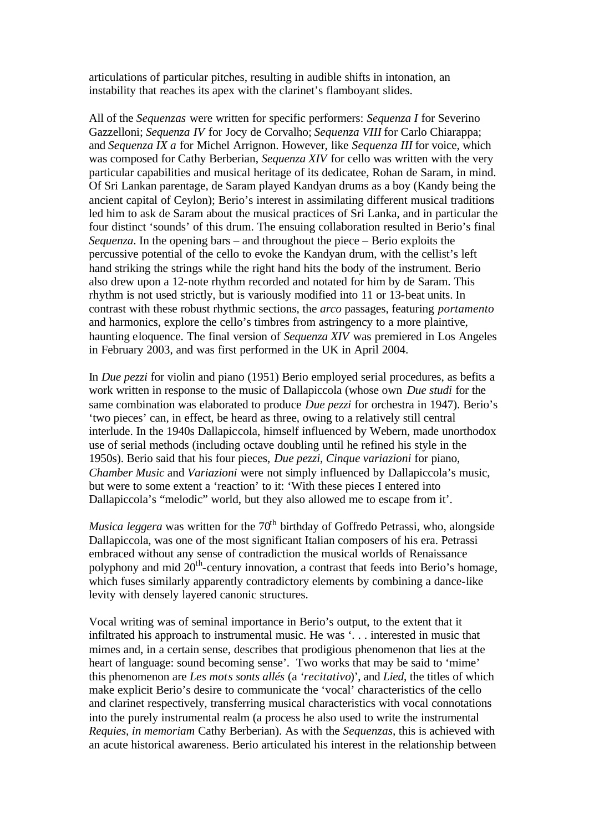articulations of particular pitches, resulting in audible shifts in intonation, an instability that reaches its apex with the clarinet's flamboyant slides.

All of the *Sequenzas* were written for specific performers: *Sequenza I* for Severino Gazzelloni; *Sequenza IV* for Jocy de Corvalho; *Sequenza VIII* for Carlo Chiarappa; and *Sequenza IX a* for Michel Arrignon. However, like *Sequenza III* for voice, which was composed for Cathy Berberian, *Sequenza XIV* for cello was written with the very particular capabilities and musical heritage of its dedicatee, Rohan de Saram, in mind. Of Sri Lankan parentage, de Saram played Kandyan drums as a boy (Kandy being the ancient capital of Ceylon); Berio's interest in assimilating different musical traditions led him to ask de Saram about the musical practices of Sri Lanka, and in particular the four distinct 'sounds' of this drum. The ensuing collaboration resulted in Berio's final *Sequenza*. In the opening bars – and throughout the piece – Berio exploits the percussive potential of the cello to evoke the Kandyan drum, with the cellist's left hand striking the strings while the right hand hits the body of the instrument. Berio also drew upon a 12-note rhythm recorded and notated for him by de Saram. This rhythm is not used strictly, but is variously modified into 11 or 13-beat units. In contrast with these robust rhythmic sections, the *arco* passages, featuring *portamento* and harmonics, explore the cello's timbres from astringency to a more plaintive, haunting eloquence. The final version of *Sequenza XIV* was premiered in Los Angeles in February 2003, and was first performed in the UK in April 2004.

In *Due pezzi* for violin and piano (1951) Berio employed serial procedures, as befits a work written in response to the music of Dallapiccola (whose own *Due studi* for the same combination was elaborated to produce *Due pezzi* for orchestra in 1947). Berio's 'two pieces' can, in effect, be heard as three, owing to a relatively still central interlude. In the 1940s Dallapiccola, himself influenced by Webern, made unorthodox use of serial methods (including octave doubling until he refined his style in the 1950s). Berio said that his four pieces, *Due pezzi*, *Cinque variazioni* for piano, *Chamber Music* and *Variazioni* were not simply influenced by Dallapiccola's music, but were to some extent a 'reaction' to it: 'With these pieces I entered into Dallapiccola's "melodic" world, but they also allowed me to escape from it'.

*Musica leggera* was written for the 70<sup>th</sup> birthday of Goffredo Petrassi, who, alongside Dallapiccola, was one of the most significant Italian composers of his era. Petrassi embraced without any sense of contradiction the musical worlds of Renaissance polyphony and mid 20<sup>th</sup>-century innovation, a contrast that feeds into Berio's homage, which fuses similarly apparently contradictory elements by combining a dance-like levity with densely layered canonic structures.

Vocal writing was of seminal importance in Berio's output, to the extent that it infiltrated his approach to instrumental music. He was '. . . interested in music that mimes and, in a certain sense, describes that prodigious phenomenon that lies at the heart of language: sound becoming sense'. Two works that may be said to 'mime' this phenomenon are *Les mots sonts allés* (a '*recitativo*)', and *Lied*, the titles of which make explicit Berio's desire to communicate the 'vocal' characteristics of the cello and clarinet respectively, transferring musical characteristics with vocal connotations into the purely instrumental realm (a process he also used to write the instrumental *Requies, in memoriam* Cathy Berberian). As with the *Sequenzas*, this is achieved with an acute historical awareness. Berio articulated his interest in the relationship between